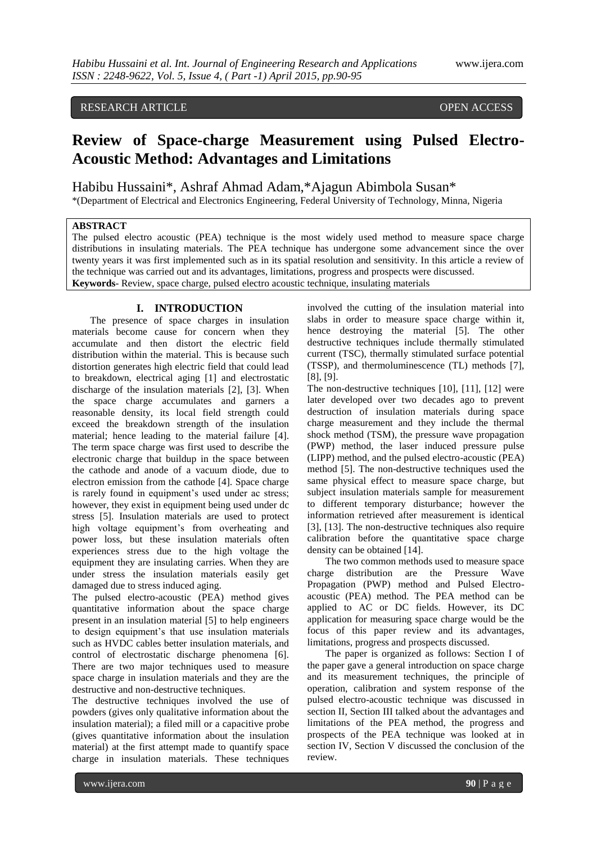## RESEARCH ARTICLE **CONSERVERS** OPEN ACCESS

# **Review of Space-charge Measurement using Pulsed Electro-Acoustic Method: Advantages and Limitations**

Habibu Hussaini\*, Ashraf Ahmad Adam,\*Ajagun Abimbola Susan\*

\*(Department of Electrical and Electronics Engineering, Federal University of Technology, Minna, Nigeria

## **ABSTRACT**

The pulsed electro acoustic (PEA) technique is the most widely used method to measure space charge distributions in insulating materials. The PEA technique has undergone some advancement since the over twenty years it was first implemented such as in its spatial resolution and sensitivity. In this article a review of the technique was carried out and its advantages, limitations, progress and prospects were discussed. **Keywords**- Review, space charge, pulsed electro acoustic technique, insulating materials

## **I. INTRODUCTION**

The presence of space charges in insulation materials become cause for concern when they accumulate and then distort the electric field distribution within the material. This is because such distortion generates high electric field that could lead to breakdown, electrical aging [1] and electrostatic discharge of the insulation materials [2], [3]. When the space charge accumulates and garners a reasonable density, its local field strength could exceed the breakdown strength of the insulation material; hence leading to the material failure [4]. The term space charge was first used to describe the electronic charge that buildup in the space between the cathode and anode of a vacuum diode, due to electron emission from the cathode [4]. Space charge is rarely found in equipment's used under ac stress; however, they exist in equipment being used under dc stress [5]. Insulation materials are used to protect high voltage equipment's from overheating and power loss, but these insulation materials often experiences stress due to the high voltage the equipment they are insulating carries. When they are under stress the insulation materials easily get damaged due to stress induced aging.

The pulsed electro-acoustic (PEA) method gives quantitative information about the space charge present in an insulation material [5] to help engineers to design equipment's that use insulation materials such as HVDC cables better insulation materials, and control of electrostatic discharge phenomena [6]. There are two major techniques used to measure space charge in insulation materials and they are the destructive and non-destructive techniques.

The destructive techniques involved the use of powders (gives only qualitative information about the insulation material); a filed mill or a capacitive probe (gives quantitative information about the insulation material) at the first attempt made to quantify space charge in insulation materials. These techniques

involved the cutting of the insulation material into slabs in order to measure space charge within it, hence destroying the material [5]. The other destructive techniques include thermally stimulated current (TSC), thermally stimulated surface potential (TSSP), and thermoluminescence (TL) methods [7], [8], [9].

The non-destructive techniques [10], [11], [12] were later developed over two decades ago to prevent destruction of insulation materials during space charge measurement and they include the thermal shock method (TSM), the pressure wave propagation (PWP) method, the laser induced pressure pulse (LIPP) method, and the pulsed electro-acoustic (PEA) method [5]. The non-destructive techniques used the same physical effect to measure space charge, but subject insulation materials sample for measurement to different temporary disturbance; however the information retrieved after measurement is identical [3], [13]. The non-destructive techniques also require calibration before the quantitative space charge density can be obtained [14].

The two common methods used to measure space charge distribution are the Pressure Wave Propagation (PWP) method and Pulsed Electroacoustic (PEA) method. The PEA method can be applied to AC or DC fields. However, its DC application for measuring space charge would be the focus of this paper review and its advantages, limitations, progress and prospects discussed.

The paper is organized as follows: Section I of the paper gave a general introduction on space charge and its measurement techniques, the principle of operation, calibration and system response of the pulsed electro-acoustic technique was discussed in section II, Section III talked about the advantages and limitations of the PEA method, the progress and prospects of the PEA technique was looked at in section IV, Section V discussed the conclusion of the review.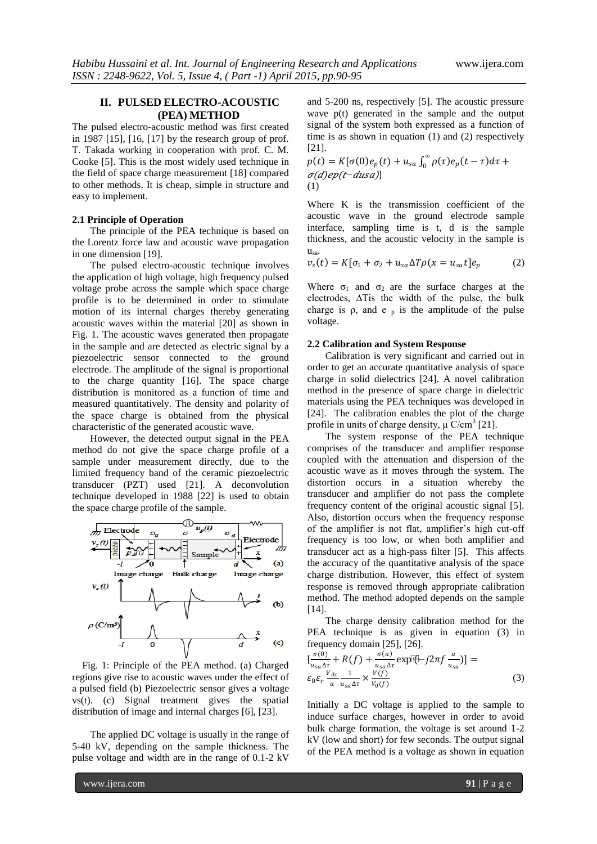## **II. PULSED ELECTRO-ACOUSTIC (PEA) METHOD**

The pulsed electro-acoustic method was first created in 1987 [15], [16, [17] by the research group of prof. T. Takada working in cooperation with prof. C. M. Cooke [5]. This is the most widely used technique in the field of space charge measurement [18] compared to other methods. It is cheap, simple in structure and easy to implement.

#### **2.1 Principle of Operation**

The principle of the PEA technique is based on the Lorentz force law and acoustic wave propagation in one dimension [19].

The pulsed electro-acoustic technique involves the application of high voltage, high frequency pulsed voltage probe across the sample which space charge profile is to be determined in order to stimulate motion of its internal charges thereby generating acoustic waves within the material [20] as shown in Fig. 1. The acoustic waves generated then propagate in the sample and are detected as electric signal by a piezoelectric sensor connected to the ground electrode. The amplitude of the signal is proportional to the charge quantity [16]. The space charge distribution is monitored as a function of time and measured quantitatively. The density and polarity of the space charge is obtained from the physical characteristic of the generated acoustic wave.

However, the detected output signal in the PEA method do not give the space charge profile of a sample under measurement directly, due to the limited frequency band of the ceramic piezoelectric transducer (PZT) used [21]. A deconvolution technique developed in 1988 [22] is used to obtain the space charge profile of the sample.



Fig. 1: Principle of the PEA method. (a) Charged regions give rise to acoustic waves under the effect of a pulsed field (b) Piezoelectric sensor gives a voltage vs(t). (c) Signal treatment gives the spatial distribution of image and internal charges [6], [23].

The applied DC voltage is usually in the range of 5-40 kV, depending on the sample thickness. The pulse voltage and width are in the range of 0.1-2 kV

and 5-200 ns, respectively [5]. The acoustic pressure wave p(t) generated in the sample and the output signal of the system both expressed as a function of time is as shown in equation (1) and (2) respectively [21].

 $p(t) = K[\sigma(0)e_p(t) + u_{sa} \int_0^{\infty} \rho(\tau)e_p(t-\tau)d\tau +$ 0  $σ(d)$ ep(t-dusa)] (1)

Where K is the transmission coefficient of the acoustic wave in the ground electrode sample interface, sampling time is t, d is the sample thickness, and the acoustic velocity in the sample is  $u_{sa}$ .

$$
v_s(t) = K[\sigma_1 + \sigma_2 + u_{sa} \Delta T \rho(x = u_{sa} t] e_p \tag{2}
$$

Where  $\sigma_1$  and  $\sigma_2$  are the surface charges at the electrodes, ∆Tis the width of the pulse, the bulk charge is  $\rho$ , and  $e_p$  is the amplitude of the pulse voltage.

## **2.2 Calibration and System Response**

Calibration is very significant and carried out in order to get an accurate quantitative analysis of space charge in solid dielectrics [24]. A novel calibration method in the presence of space charge in dielectric materials using the PEA techniques was developed in [24]. The calibration enables the plot of the charge profile in units of charge density,  $\mu$  C/cm<sup>3</sup> [21].

The system response of the PEA technique comprises of the transducer and amplifier response coupled with the attenuation and dispersion of the acoustic wave as it moves through the system. The distortion occurs in a situation whereby the transducer and amplifier do not pass the complete frequency content of the original acoustic signal [5]. Also, distortion occurs when the frequency response of the amplifier is not flat, amplifier's high cut-off frequency is too low, or when both amplifier and transducer act as a high-pass filter [5]. This affects the accuracy of the quantitative analysis of the space charge distribution. However, this effect of system response is removed through appropriate calibration method. The method adopted depends on the sample [14].

The charge density calibration method for the PEA technique is as given in equation (3) in frequency domain [25], [26].

$$
\left[\frac{\sigma(0)}{u_{sa}\Delta\tau} + R(f) + \frac{\sigma(a)}{u_{sa}\Delta\tau} \exp[\hat{c}] - j2\pi f \frac{a}{u_{sa}}\right] = \varepsilon_0 \varepsilon_r \frac{V_{dc}}{a} \frac{1}{u_{sa}\Delta\tau} \times \frac{V(f)}{V_0(f)} \tag{3}
$$

Initially a DC voltage is applied to the sample to induce surface charges, however in order to avoid bulk charge formation, the voltage is set around 1-2 kV (low and short) for few seconds. The output signal of the PEA method is a voltage as shown in equation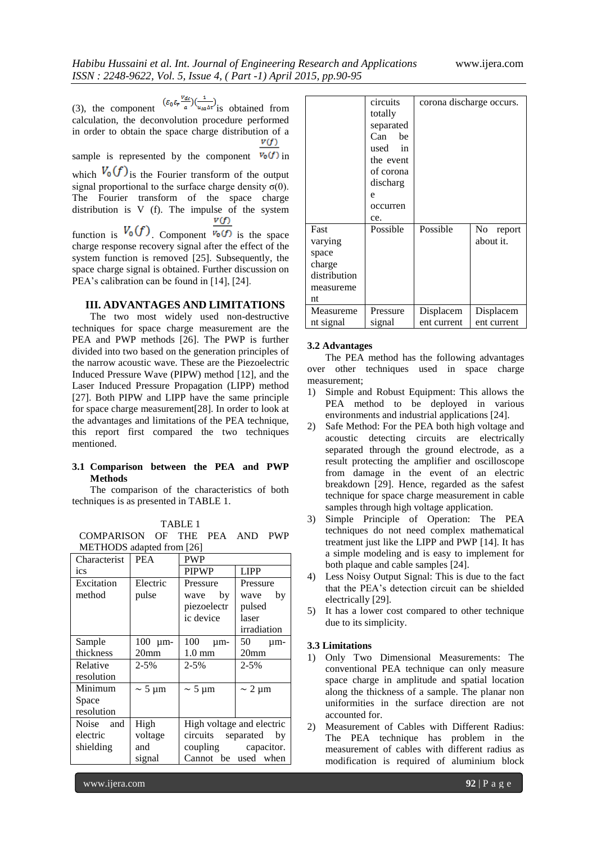(3), the component  $(\varepsilon_0 \varepsilon_r \frac{v_{dc}}{a}) (\frac{1}{u_{sa}\Delta t})$  is obtained from calculation, the deconvolution procedure performed in order to obtain the space charge distribution of a V(f) sample is represented by the component  $V_0(f)$  in which  $V_0(f)$  is the Fourier transform of the output signal proportional to the surface charge density  $σ(0)$ . The Fourier transform of the space charge distribution is V (f). The impulse of the system  $v(f)$ function is  $V_0(f)$ . Component  $\overline{v_0(f)}$  is the space

charge response recovery signal after the effect of the system function is removed [25]. Subsequently, the space charge signal is obtained. Further discussion on PEA's calibration can be found in [14], [24].

#### **III. ADVANTAGES AND LIMITATIONS**

The two most widely used non-destructive techniques for space charge measurement are the PEA and PWP methods [26]. The PWP is further divided into two based on the generation principles of the narrow acoustic wave. These are the Piezoelectric Induced Pressure Wave (PIPW) method [12], and the Laser Induced Pressure Propagation (LIPP) method [27]. Both PIPW and LIPP have the same principle for space charge measurement[28]. In order to look at the advantages and limitations of the PEA technique, this report first compared the two techniques mentioned.

## **3.1 Comparison between the PEA and PWP Methods**

The comparison of the characteristics of both techniques is as presented in TABLE 1.

|--|--|

| COMPARISON OF THE PEA AND PWP |  |  |  |
|-------------------------------|--|--|--|
| METHODS adapted from [26]     |  |  |  |

| Characterist | <b>PEA</b>       | <b>PWP</b>                |                  |  |
|--------------|------------------|---------------------------|------------------|--|
| ics          |                  | <b>PIPWP</b>              | <b>LIPP</b>      |  |
| Excitation   | Electric         | Pressure<br>Pressure      |                  |  |
| method       | pulse            | by<br>wave                | by<br>wave       |  |
|              |                  | piezoelectr               | pulsed           |  |
|              |                  | ic device                 | laser            |  |
|              |                  |                           | irradiation      |  |
| Sample       | 100 μm-          | 100<br>$\mu$ m-           | 50<br>$\mu$ m-   |  |
| thickness    | 20 <sub>mm</sub> | $1.0 \text{ mm}$          | 20 <sub>mm</sub> |  |
| Relative     | 2-5%             | $2 - 5\%$                 | $2 - 5\%$        |  |
| resolution   |                  |                           |                  |  |
| Minimum      | $\sim$ 5 µm      | $\sim$ 5 µm               | $\sim$ 2 µm      |  |
| Space        |                  |                           |                  |  |
| resolution   |                  |                           |                  |  |
| Noise and    | High             | High voltage and electric |                  |  |
| electric     | voltage          | circuits separated<br>by  |                  |  |
| shielding    | and              | coupling<br>capacitor.    |                  |  |
|              | signal           | Cannot be used            | when             |  |

|                                                                       | circuits<br>totally<br>separated<br>Can<br>be<br>used in<br>the event<br>of corona<br>discharg<br>e<br>occurren<br>ce. | corona discharge occurs. |                           |
|-----------------------------------------------------------------------|------------------------------------------------------------------------------------------------------------------------|--------------------------|---------------------------|
| Fast<br>varying<br>space<br>charge<br>distribution<br>measureme<br>nt | Possible                                                                                                               | Possible                 | No<br>report<br>about it. |
| Measureme<br>nt signal                                                | Pressure<br>signal                                                                                                     | Displacem<br>ent current | Displacem<br>ent current  |

#### **3.2 Advantages**

The PEA method has the following advantages over other techniques used in space charge measurement;

- 1) Simple and Robust Equipment: This allows the PEA method to be deployed in various environments and industrial applications [24].
- 2) Safe Method: For the PEA both high voltage and acoustic detecting circuits are electrically separated through the ground electrode, as a result protecting the amplifier and oscilloscope from damage in the event of an electric breakdown [29]. Hence, regarded as the safest technique for space charge measurement in cable samples through high voltage application.
- 3) Simple Principle of Operation: The PEA techniques do not need complex mathematical treatment just like the LIPP and PWP [14]. It has a simple modeling and is easy to implement for both plaque and cable samples [24].
- 4) Less Noisy Output Signal: This is due to the fact that the PEA's detection circuit can be shielded electrically [29].
- 5) It has a lower cost compared to other technique due to its simplicity.

#### **3.3 Limitations**

- 1) Only Two Dimensional Measurements: The conventional PEA technique can only measure space charge in amplitude and spatial location along the thickness of a sample. The planar non uniformities in the surface direction are not accounted for.
- 2) Measurement of Cables with Different Radius: The PEA technique has problem in the measurement of cables with different radius as modification is required of aluminium block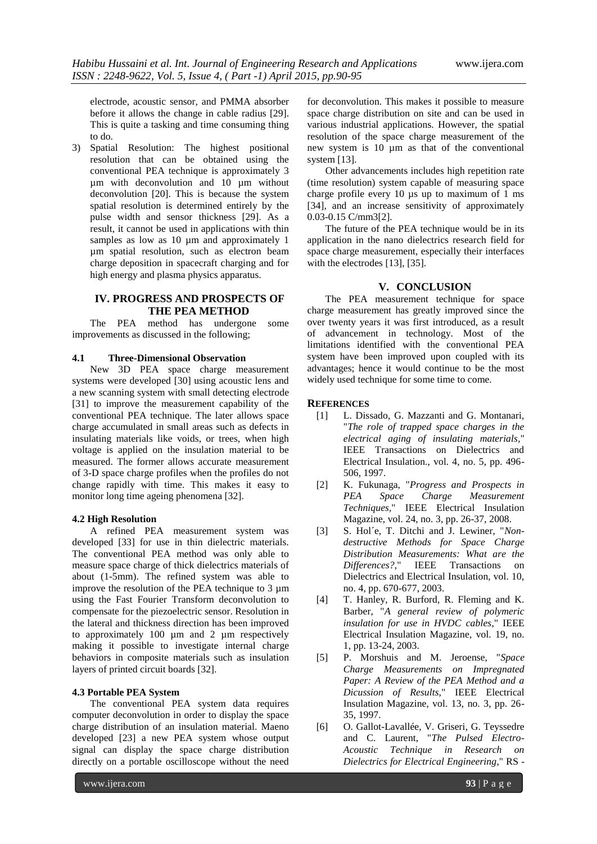electrode, acoustic sensor, and PMMA absorber before it allows the change in cable radius [29]. This is quite a tasking and time consuming thing to do.

3) Spatial Resolution: The highest positional resolution that can be obtained using the conventional PEA technique is approximately 3 µm with deconvolution and 10 µm without deconvolution [20]. This is because the system spatial resolution is determined entirely by the pulse width and sensor thickness [29]. As a result, it cannot be used in applications with thin samples as low as 10  $\mu$ m and approximately 1 µm spatial resolution, such as electron beam charge deposition in spacecraft charging and for high energy and plasma physics apparatus.

## **IV. PROGRESS AND PROSPECTS OF THE PEA METHOD**

The PEA method has undergone some improvements as discussed in the following;

#### **4.1 Three-Dimensional Observation**

New 3D PEA space charge measurement systems were developed [30] using acoustic lens and a new scanning system with small detecting electrode [31] to improve the measurement capability of the conventional PEA technique. The later allows space charge accumulated in small areas such as defects in insulating materials like voids, or trees, when high voltage is applied on the insulation material to be measured. The former allows accurate measurement of 3-D space charge profiles when the profiles do not change rapidly with time. This makes it easy to monitor long time ageing phenomena [32].

#### **4.2 High Resolution**

A refined PEA measurement system was developed [33] for use in thin dielectric materials. The conventional PEA method was only able to measure space charge of thick dielectrics materials of about (1-5mm). The refined system was able to improve the resolution of the PEA technique to 3  $\mu$ m using the Fast Fourier Transform deconvolution to compensate for the piezoelectric sensor. Resolution in the lateral and thickness direction has been improved to approximately 100 µm and 2 µm respectively making it possible to investigate internal charge behaviors in composite materials such as insulation layers of printed circuit boards [32].

#### **4.3 Portable PEA System**

The conventional PEA system data requires computer deconvolution in order to display the space charge distribution of an insulation material. Maeno developed [23] a new PEA system whose output signal can display the space charge distribution directly on a portable oscilloscope without the need

for deconvolution. This makes it possible to measure space charge distribution on site and can be used in various industrial applications. However, the spatial resolution of the space charge measurement of the new system is  $10 \mu m$  as that of the conventional system [13].

Other advancements includes high repetition rate (time resolution) system capable of measuring space charge profile every  $10$  us up to maximum of  $1 \text{ ms}$ [34], and an increase sensitivity of approximately 0.03-0.15 C/mm3[2].

The future of the PEA technique would be in its application in the nano dielectrics research field for space charge measurement, especially their interfaces with the electrodes [13], [35].

### **V. CONCLUSION**

The PEA measurement technique for space charge measurement has greatly improved since the over twenty years it was first introduced, as a result of advancement in technology. Most of the limitations identified with the conventional PEA system have been improved upon coupled with its advantages; hence it would continue to be the most widely used technique for some time to come.

#### **REFERENCES**

- [1] L. Dissado, G. Mazzanti and G. Montanari, "*The role of trapped space charges in the electrical aging of insulating materials*," IEEE Transactions on Dielectrics and Electrical Insulation., vol. 4, no. 5, pp. 496- 506, 1997.
- [2] K. Fukunaga, "*Progress and Prospects in PEA Space Charge Measurement Techniques,*" IEEE Electrical Insulation Magazine, vol. 24, no. 3, pp. 26-37, 2008.
- [3] S. Hol´e, T. Ditchi and J. Lewiner, "*Nondestructive Methods for Space Charge Distribution Measurements: What are the Differences?,*" IEEE Transactions on Dielectrics and Electrical Insulation, vol. 10, no. 4, pp. 670-677, 2003.
- [4] T. Hanley, R. Burford, R. Fleming and K. Barber, "*A general review of polymeric insulation for use in HVDC cables*," IEEE Electrical Insulation Magazine, vol. 19, no. 1, pp. 13-24, 2003.
- [5] P. Morshuis and M. Jeroense, "*Space Charge Measurements on Impregnated Paper: A Review of the PEA Method and a Dicussion of Results,*" IEEE Electrical Insulation Magazine, vol. 13, no. 3, pp. 26- 35, 1997.
- [6] O. Gallot-Lavallée, V. Griseri, G. Teyssedre and C. Laurent, "*The Pulsed Electro-Acoustic Technique in Research on Dielectrics for Electrical Engineering*," RS -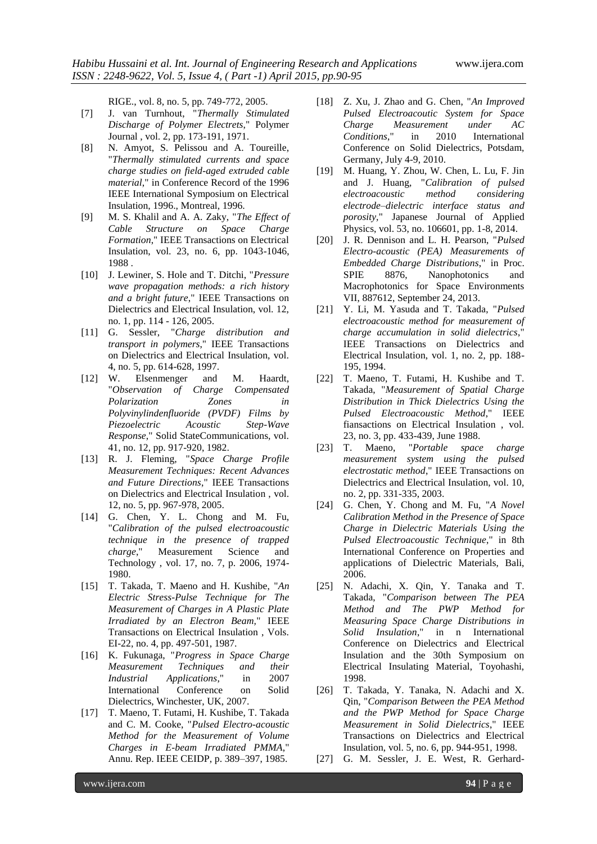RIGE., vol. 8, no. 5, pp. 749-772, 2005.

- [7] J. van Turnhout, "*Thermally Stimulated Discharge of Polymer Electrets*," Polymer Journal , vol. 2, pp. 173-191, 1971.
- [8] N. Amyot, S. Pelissou and A. Toureille, "*Thermally stimulated currents and space charge studies on field-aged extruded cable material*," in Conference Record of the 1996 IEEE International Symposium on Electrical Insulation, 1996., Montreal, 1996.
- [9] M. S. Khalil and A. A. Zaky, "*The Effect of Cable Structure on Space Charge Formation*," IEEE Transactions on Electrical Insulation, vol. 23, no. 6, pp. 1043-1046, 1988 .
- [10] J. Lewiner, S. Hole and T. Ditchi, "*Pressure wave propagation methods: a rich history and a bright future*," IEEE Transactions on Dielectrics and Electrical Insulation, vol. 12, no. 1, pp. 114 - 126, 2005.
- [11] G. Sessler, "*Charge distribution and transport in polymers*," IEEE Transactions on Dielectrics and Electrical Insulation, vol. 4, no. 5, pp. 614-628, 1997.
- [12] W. Elsenmenger and M. Haardt, "*Observation of Charge Compensated Polarization Zones in Polyvinylindenfluoride (PVDF) Films by Piezoelectric Acoustic Step-Wave Response*," Solid StateCommunications, vol. 41, no. 12, pp. 917-920, 1982.
- [13] R. J. Fleming, "*Space Charge Profile Measurement Techniques: Recent Advances and Future Directions*," IEEE Transactions on Dielectrics and Electrical Insulation , vol. 12, no. 5, pp. 967-978, 2005.
- [14] G. Chen, Y. L. Chong and M. Fu, "*Calibration of the pulsed electroacoustic technique in the presence of trapped charge*," Measurement Science and Technology , vol. 17, no. 7, p. 2006, 1974- 1980.
- [15] T. Takada, T. Maeno and H. Kushibe, "*An Electric Stress-Pulse Technique for The Measurement of Charges in A Plastic Plate Irradiated by an Electron Beam,*" IEEE Transactions on Electrical Insulation , Vols. EI-22, no. 4, pp. 497-501, 1987.
- [16] K. Fukunaga, "*Progress in Space Charge Measurement Techniques and their Industrial Applications*," in 2007 International Conference on Solid Dielectrics, Winchester, UK, 2007.
- [17] T. Maeno, T. Futami, H. Kushibe, T. Takada and C. M. Cooke, "*Pulsed Electro-acoustic Method for the Measurement of Volume Charges in E-beam Irradiated PMMA*," Annu. Rep. IEEE CEIDP, p. 389–397, 1985.
- [18] Z. Xu, J. Zhao and G. Chen, "*An Improved Pulsed Electroacoutic System for Space Charge Measurement under AC Conditions*," in 2010 International Conference on Solid Dielectrics, Potsdam, Germany, July 4-9, 2010.
- [19] M. Huang, Y. Zhou, W. Chen, L. Lu, F. Jin and J. Huang, "*Calibration of pulsed electroacoustic method considering electrode–dielectric interface status and porosity,*" Japanese Journal of Applied Physics, vol. 53, no. 106601, pp. 1-8, 2014.
- [20] J. R. Dennison and L. H. Pearson, "*Pulsed Electro-acoustic (PEA) Measurements of Embedded Charge Distributions*," in Proc. SPIE 8876, Nanophotonics and Macrophotonics for Space Environments VII, 887612, September 24, 2013.
- [21] Y. Li, M. Yasuda and T. Takada, "*Pulsed electroacoustic method for measurement of charge accumulation in solid dielectrics*," IEEE Transactions on Dielectrics and Electrical Insulation, vol. 1, no. 2, pp. 188- 195, 1994.
- [22] T. Maeno, T. Futami, H. Kushibe and T. Takada, "*Measurement of Spatial Charge Distribution in Thick Dielectrics Using the Pulsed Electroacoustic Method*," IEEE fiansactions on Electrical Insulation , vol. 23, no. 3, pp. 433-439, June 1988.
- [23] T. Maeno, "*Portable space charge measurement system using the pulsed electrostatic method*," IEEE Transactions on Dielectrics and Electrical Insulation, vol. 10, no. 2, pp. 331-335, 2003.
- [24] G. Chen, Y. Chong and M. Fu, "*A Novel Calibration Method in the Presence of Space Charge in Dielectric Materials Using the Pulsed Electroacoustic Technique*," in 8th International Conference on Properties and applications of Dielectric Materials, Bali, 2006.
- [25] N. Adachi, X. Qin, Y. Tanaka and T. Takada, "*Comparison between The PEA Method and The PWP Method for Measuring Space Charge Distributions in Solid Insulation*," in n International Conference on Dielectrics and Electrical Insulation and the 30th Symposium on Electrical Insulating Material, Toyohashi, 1998.
- [26] T. Takada, Y. Tanaka, N. Adachi and X. Qin, "*Comparison Between the PEA Method and the PWP Method for Space Charge Measurement in Solid Dielectrics*," IEEE Transactions on Dielectrics and Electrical Insulation, vol. 5, no. 6, pp. 944-951, 1998.
- [27] G. M. Sessler, J. E. West, R. Gerhard-

www.ijera.com **94** | P a g e